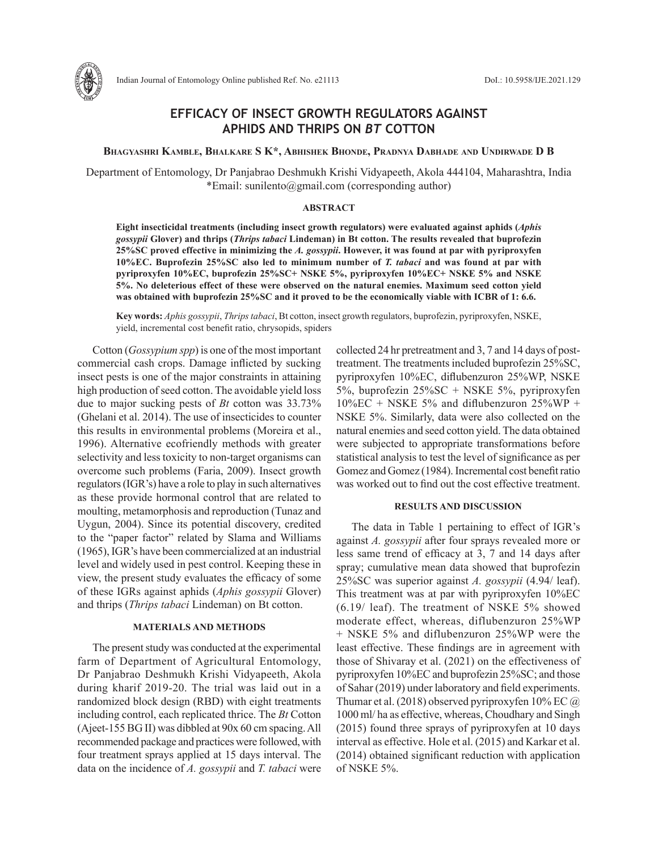

# **EFFICACY OF INSECT GROWTH REGULATORS AGAINST APHIDS AND THRIPS ON** *BT* **COTTON**

**Bhagyashri Kamble, Bhalkare S K\*, Abhishek Bhonde, Pradnya Dabhade and Undirwade D B**

Department of Entomology, Dr Panjabrao Deshmukh Krishi Vidyapeeth, Akola 444104, Maharashtra, India \*Email: sunilento@gmail.com (corresponding author)

### **ABSTRACT**

**Eight insecticidal treatments (including insect growth regulators) were evaluated against aphids (***Aphis gossypii* **Glover) and thrips (***Thrips tabaci* **Lindeman) in Bt cotton. The results revealed that buprofezin 25%SC proved effective in minimizing the** *A. gossypii***. However, it was found at par with pyriproxyfen 10%EC. Buprofezin 25%SC also led to minimum number of** *T. tabaci* **and was found at par with pyriproxyfen 10%EC, buprofezin 25%SC+ NSKE 5%, pyriproxyfen 10%EC+ NSKE 5% and NSKE 5%. No deleterious effect of these were observed on the natural enemies. Maximum seed cotton yield was obtained with buprofezin 25%SC and it proved to be the economically viable with ICBR of 1: 6.6.**

**Key words:** *Aphis gossypii*, *Thrips tabaci*, Bt cotton, insect growth regulators, buprofezin, pyriproxyfen, NSKE, yield, incremental cost benefit ratio, chrysopids, spiders

Cotton (*Gossypium spp*) is one of the most important commercial cash crops. Damage inflicted by sucking insect pests is one of the major constraints in attaining high production of seed cotton. The avoidable yield loss due to major sucking pests of *Bt* cotton was 33.73% (Ghelani et al. 2014). The use of insecticides to counter this results in environmental problems (Moreira et al., 1996). Alternative ecofriendly methods with greater selectivity and less toxicity to non-target organisms can overcome such problems (Faria, 2009). Insect growth regulators (IGR's) have a role to play in such alternatives as these provide hormonal control that are related to moulting, metamorphosis and reproduction (Tunaz and Uygun, 2004). Since its potential discovery, credited to the "paper factor" related by Slama and Williams (1965), IGR's have been commercialized at an industrial level and widely used in pest control. Keeping these in view, the present study evaluates the efficacy of some of these IGRs against aphids (*Aphis gossypii* Glover) and thrips (*Thrips tabaci* Lindeman) on Bt cotton.

## **MATERIALS AND METHODS**

The present study was conducted at the experimental farm of Department of Agricultural Entomology, Dr Panjabrao Deshmukh Krishi Vidyapeeth, Akola during kharif 2019-20. The trial was laid out in a randomized block design (RBD) with eight treatments including control, each replicated thrice. The *Bt* Cotton (Ajeet-155 BG II) was dibbled at 90x 60 cm spacing. All recommended package and practices were followed, with four treatment sprays applied at 15 days interval. The data on the incidence of *A. gossypii* and *T. tabaci* were

collected 24 hr pretreatment and 3, 7 and 14 days of posttreatment. The treatments included buprofezin 25%SC, pyriproxyfen 10%EC, diflubenzuron 25%WP, NSKE 5%, buprofezin 25%SC + NSKE 5%, pyriproxyfen  $10\%$ EC + NSKE 5% and diflubenzuron 25%WP + NSKE 5%. Similarly, data were also collected on the natural enemies and seed cotton yield. The data obtained were subjected to appropriate transformations before statistical analysis to test the level of significance as per Gomez and Gomez (1984). Incremental cost benefit ratio was worked out to find out the cost effective treatment.

#### **RESULTS AND DISCUSSION**

The data in Table 1 pertaining to effect of IGR's against *A. gossypii* after four sprays revealed more or less same trend of efficacy at 3, 7 and 14 days after spray; cumulative mean data showed that buprofezin 25%SC was superior against *A. gossypii* (4.94/ leaf). This treatment was at par with pyriproxyfen 10%EC (6.19/ leaf). The treatment of NSKE 5% showed moderate effect, whereas, diflubenzuron 25%WP + NSKE 5% and diflubenzuron 25%WP were the least effective. These findings are in agreement with those of Shivaray et al. (2021) on the effectiveness of pyriproxyfen 10%EC and buprofezin 25%SC; and those of Sahar (2019) under laboratory and field experiments. Thumar et al. (2018) observed pyriproxyfen 10% EC  $\omega$ 1000 ml/ ha as effective, whereas, Choudhary and Singh (2015) found three sprays of pyriproxyfen at 10 days interval as effective. Hole et al. (2015) and Karkar et al. (2014) obtained significant reduction with application of NSKE 5%.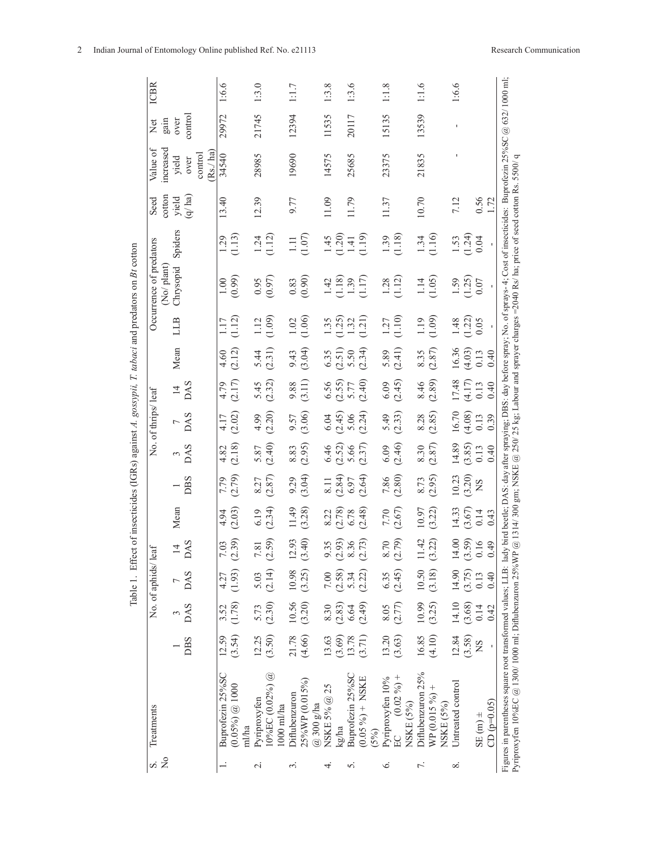| .<br>.<br>.<br>I                        |
|-----------------------------------------|
| י<br>י<br>į<br>ı                        |
|                                         |
|                                         |
| Ę                                       |
| :<br>í<br>l                             |
| ۱<br>ا<br>)<br>$\overline{\phantom{a}}$ |
| ţ<br>$\frac{1}{2}$<br>I<br>ı            |
|                                         |
| $\ddot{\phantom{0}}$<br>ć               |
| ç<br>I<br>l                             |
|                                         |
| J<br>í<br>l                             |

| $\frac{1}{2}$<br>S. | Treatments                                                                                                                                                                                                                                                                                                                                                                   |              |        | No. of aphids/ leaf |               |                       |             |                              | No. of thrips/ leaf |                              |                              |                    | Occurrence of predators                                 |                                                      | Seed   | Value of                  | $\Xi$   | <b>ICBR</b> |
|---------------------|------------------------------------------------------------------------------------------------------------------------------------------------------------------------------------------------------------------------------------------------------------------------------------------------------------------------------------------------------------------------------|--------------|--------|---------------------|---------------|-----------------------|-------------|------------------------------|---------------------|------------------------------|------------------------------|--------------------|---------------------------------------------------------|------------------------------------------------------|--------|---------------------------|---------|-------------|
|                     |                                                                                                                                                                                                                                                                                                                                                                              |              |        |                     |               |                       |             |                              |                     |                              |                              |                    | No/plant                                                |                                                      | cotton | increased                 | gain    |             |
|                     |                                                                                                                                                                                                                                                                                                                                                                              |              |        | $\frac{3}{DAS}$ DAS | $\frac{14}{}$ | Mean                  | $rac{1}{2}$ | 3<br>DAS                     | $\frac{7}{1}$       | $\frac{14}{}$                | Mean                         | LLB                | Chrysopid                                               | Spiders                                              | yield  | yield                     | over    |             |
|                     |                                                                                                                                                                                                                                                                                                                                                                              | DBS          |        |                     |               |                       |             |                              |                     |                              |                              |                    |                                                         |                                                      | (q/ha) | Rs./ha<br>control<br>over | control |             |
|                     | Buprofezin 25%S                                                                                                                                                                                                                                                                                                                                                              | 12.59        | 3.52   | 4.27                | 7.03          | 4.94                  | 7.79        | 4.82                         |                     | 4.79                         | 4.60                         | 1.17               | 1.00                                                    | 1.29                                                 | 13.40  | 34540                     | 29972   | 1:6.6       |
|                     | $(0.05\%)\ @$ 1000<br>ml/ha                                                                                                                                                                                                                                                                                                                                                  | (3.54)       | (1.78) | (1.93)              | (2.39)        | (2.03)                | (2.79)      | (2.18)                       | $4.17$<br>(2.02)    | (2.17)                       | (2.12)                       | (1.12)             | (0.99)                                                  | (1.13)                                               |        |                           |         |             |
| $\sim$              | Pyriproxyfen                                                                                                                                                                                                                                                                                                                                                                 | 12.25        | 5.73   | 5.03                | 7.81          | 6.19                  | 8.27        | 5.87                         | 4.99                | 5.45                         | 5.44                         | 1.12               | 0.95                                                    |                                                      | 12.39  | 28985                     | 21745   | 1:3.0       |
|                     | $10\%$ EC $(0.02\%)$ @                                                                                                                                                                                                                                                                                                                                                       | (3.50)       | (2.30) | (2.14)              | (2.59)        | (2.34)                | (2.87)      | (2.40)                       | (2.20)              | (2.32)                       | (2.31)                       | (1.09)             | (0.97)                                                  | $1.24$<br>(1.12)                                     |        |                           |         |             |
|                     | 1000 ml/ha                                                                                                                                                                                                                                                                                                                                                                   |              |        |                     |               |                       |             |                              |                     |                              |                              |                    |                                                         |                                                      |        |                           |         |             |
| $\sim$              | Diflubenzuron                                                                                                                                                                                                                                                                                                                                                                | 21.78        | 10.56  | 10.98               | 12.93         | 11.49                 | 9.29        | 8.83                         | 9.57                | 9.88                         | 9.43                         | 1.02               | 0.83                                                    | 1.11                                                 | 9.77   | 19690                     | 12394   | 1:1.7       |
|                     | 25%WP (0.015%)                                                                                                                                                                                                                                                                                                                                                               | (4.66)       | (3.20) | (3.25)              | (3.40)        | (3.28)                | (3.04)      | (2.95)                       | (3.06)              | (3.11)                       | (3.04)                       | (1.06)             | (0.90)                                                  | (1.07)                                               |        |                           |         |             |
|                     | $@300$ g/ha                                                                                                                                                                                                                                                                                                                                                                  |              |        |                     |               |                       |             |                              |                     |                              |                              |                    |                                                         |                                                      |        |                           |         |             |
| 4                   | NSKE 5% @ 25                                                                                                                                                                                                                                                                                                                                                                 | 13.63        | 8.30   | $7.00\,$            | 9.35          | 8.22                  | 8.11        |                              | $6.04$              |                              |                              | 1.35               | 1.42                                                    | 1.45                                                 | 11.09  | 14575                     | 11535   | 1:3.8       |
|                     | kg/ha                                                                                                                                                                                                                                                                                                                                                                        | (3.69)       | (2.83) |                     | (2.93)        | (2.78)                | (2.84)      | $6.46$<br>$(2.52)$<br>$5.66$ | $(2.45)$<br>5.06    | $6.56$<br>$(2.55)$<br>$5.77$ | $6.35$<br>$(2.51)$<br>$5.50$ |                    |                                                         |                                                      |        |                           |         |             |
| n                   | Buprofezin 25%SC                                                                                                                                                                                                                                                                                                                                                             | 13.78        | 6.64   | $(2.58)$<br>5.34    | 8.36          | 6.78                  | 6.97        |                              |                     |                              |                              | $(1.25)$<br>$1.32$ |                                                         |                                                      | 11.79  | 25685                     | 20117   | 1:3.6       |
|                     | $(0.05\%)+(NSKE)$                                                                                                                                                                                                                                                                                                                                                            | (3.71)       | (2.49) | (2.22)              | (2.73)        | (2.48)                | (2.64)      | (2.37)                       | (2.24)              | (2.40)                       | (2.34)                       | (1.21)             | $\begin{array}{c} (1.18) \\ 1.39 \\ (1.17) \end{array}$ | $\begin{pmatrix} 1.20 \\ 1.41 \\ 1.19 \end{pmatrix}$ |        |                           |         |             |
|                     | (5%)                                                                                                                                                                                                                                                                                                                                                                         |              |        |                     |               |                       |             |                              |                     |                              |                              |                    |                                                         |                                                      |        |                           |         |             |
| ٰت                  | Pyriproxyfen 10%                                                                                                                                                                                                                                                                                                                                                             | 13.20        | 8.05   |                     | 8.70          | 7.70                  | 7.86        | 6.09                         | 5.49                | 6.09                         |                              |                    |                                                         |                                                      | 11.37  | 23375                     | 15135   | 1:1.8       |
|                     | $(0.02\%)+$<br>EC                                                                                                                                                                                                                                                                                                                                                            | (3.63)       | (2.77) | $6.35$<br>(2.45)    | (2.79)        | (2.67)                | (2.80)      | (2.46)                       | (2.33)              | (2.45)                       | $5.89$<br>(2.41)             | $1.27$<br>(1.10)   | $1.28$<br>(1.12)                                        | $\frac{1.39}{(1.18)}$                                |        |                           |         |             |
|                     | NSKE (5%)                                                                                                                                                                                                                                                                                                                                                                    |              |        |                     |               |                       |             |                              |                     |                              |                              |                    |                                                         |                                                      |        |                           |         |             |
| L.                  | Diflubenzuron 25%                                                                                                                                                                                                                                                                                                                                                            | 16.85        | 10.99  | 10.50               | 11.42         | 10.97                 | 8.73        | 8.30                         | 8.28                | 8.46                         |                              | 1.19               | 1.14                                                    | 1.34                                                 | 10.70  | 21835                     | 13539   | 1:1.6       |
|                     | $WP(0.015\%)+$                                                                                                                                                                                                                                                                                                                                                               | (4.10)       | (3.25) | (3.18)              | (3.22)        | (3.22)                | (2.95)      | (2.87)                       | (2.85)              | (2.89)                       | $8.35$<br>(2.87)             | (1.09)             | (1.05)                                                  | (1.16)                                               |        |                           |         |             |
|                     | NSKE (5%)                                                                                                                                                                                                                                                                                                                                                                    |              |        |                     |               |                       |             |                              |                     |                              |                              |                    |                                                         |                                                      |        |                           |         |             |
| ∞ं                  | Untreated control                                                                                                                                                                                                                                                                                                                                                            | 12.84        | 14.10  | 14.90               | 14.00         | 14.33                 | 10.23       | 14.89                        | 16.70               | 17.48                        | 16.36                        | 1.48               | 1.59                                                    |                                                      | 7.12   |                           |         | 1:6.6       |
|                     |                                                                                                                                                                                                                                                                                                                                                                              | (3.58)       | (3.68) | (3.75)              | (3.59)        | $\frac{(3.67)}{0.14}$ | (3.20)      | (3.85)                       | (4.08)              | (4.17)                       | (4.03)                       | (1.22)             | (1.25)                                                  | $1.53$<br>(1.24)                                     |        |                           |         |             |
|                     | $\sin(125)$                                                                                                                                                                                                                                                                                                                                                                  | SN           | 0.14   | 0.13                | 0.16          |                       | SN          | 0.13                         | 0.13                | 0.13                         | 0.13                         | 0.05               | 0.07                                                    | 0.04                                                 | 0.56   |                           |         |             |
|                     | $CD (p=0.05)$                                                                                                                                                                                                                                                                                                                                                                | $\mathbf{I}$ | 0.42   | 0.40                | 67.0          | 0.43                  |             | 0.40                         | 0.39                | 0.40                         | 0.40                         |                    |                                                         |                                                      | 1.72   |                           |         |             |
|                     | Figures in parentheses square root transformed values; LLB: lady bird beetle; DAS: day after spraying; DBS: day before spray; No. of sprays-4; Cost of insecticides: Buprofezin 25%SC @ 632/1000 ml;<br>Pyriproxyfen 10%EC @ 1300/ 1000 ml; Diflubenzuron 25%WP @ 1314/ 300 gm; NSKE @ 250/ 25 kg; Labour and sprayer charges =2040 Rs/ ha; price of seed cotton Rs. 5500/ q |              |        |                     |               |                       |             |                              |                     |                              |                              |                    |                                                         |                                                      |        |                           |         |             |